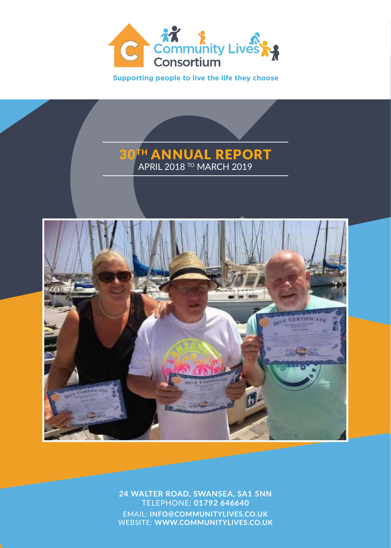

**Supporting people to live the life they choose**





**24 WALTER ROAD, SWANSEA, SA1 5NN** TELEPHONE: **01792 646640** EMAIL: **INFO@COMMUNITYLIVES.CO.UK** WEBSITE: **WWW.COMMUNITYLIVES.CO.UK**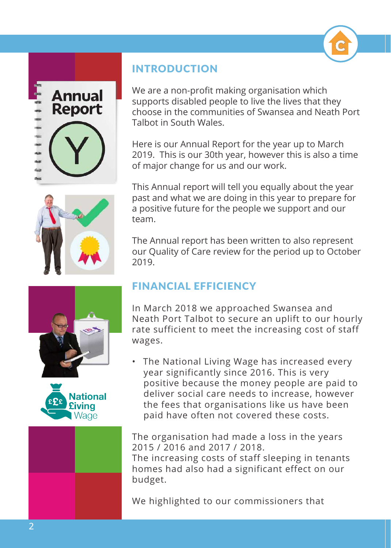











# INTRODUCTION

We are a non-profit making organisation which supports disabled people to live the lives that they choose in the communities of Swansea and Neath Port Talbot in South Wales.

Here is our Annual Report for the year up to March 2019. This is our 30th year, however this is also a time of major change for us and our work.

This Annual report will tell you equally about the year past and what we are doing in this year to prepare for a positive future for the people we support and our team.

The Annual report has been written to also represent our Quality of Care review for the period up to October 2019.

# FINANCIAL EFFICIENCY

In March 2018 we approached Swansea and Neath Port Talbot to secure an uplift to our hourly rate sufficient to meet the increasing cost of staff wages.

• The National Living Wage has increased every year significantly since 2016. This is very positive because the money people are paid to deliver social care needs to increase, however the fees that organisations like us have been paid have often not covered these costs.

The organisation had made a loss in the years 2015 / 2016 and 2017 / 2018. The increasing costs of staff sleeping in tenants homes had also had a significant effect on our budget.

We highlighted to our commissioners that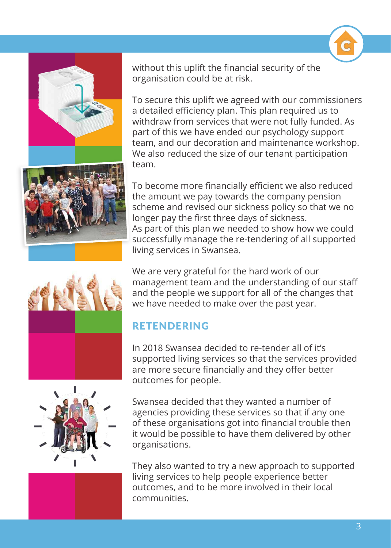



without this uplift the financial security of the organisation could be at risk.

To secure this uplift we agreed with our commissioners a detailed efficiency plan. This plan required us to withdraw from services that were not fully funded. As part of this we have ended our psychology support team, and our decoration and maintenance workshop. We also reduced the size of our tenant participation team.

To become more financially efficient we also reduced the amount we pay towards the company pension scheme and revised our sickness policy so that we no longer pay the first three days of sickness. As part of this plan we needed to show how we could successfully manage the re-tendering of all supported living services in Swansea.





We are very grateful for the hard work of our management team and the understanding of our staff and the people we support for all of the changes that we have needed to make over the past year.

# RETENDERING

In 2018 Swansea decided to re-tender all of it's supported living services so that the services provided are more secure financially and they offer better outcomes for people.

Swansea decided that they wanted a number of agencies providing these services so that if any one of these organisations got into financial trouble then it would be possible to have them delivered by other organisations.

They also wanted to try a new approach to supported living services to help people experience better outcomes, and to be more involved in their local communities.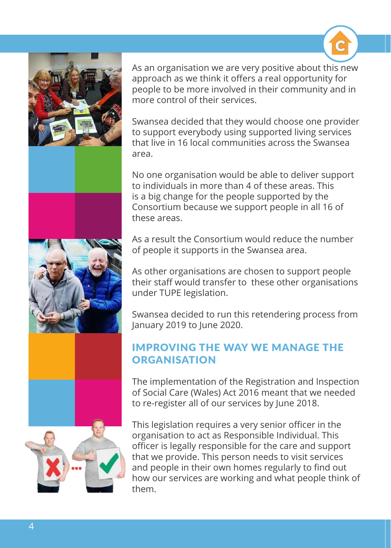

As an organisation we are very positive about this new approach as we think it offers a real opportunity for people to be more involved in their community and in more control of their services.

Swansea decided that they would choose one provider to support everybody using supported living services that live in 16 local communities across the Swansea area.

No one organisation would be able to deliver support to individuals in more than 4 of these areas. This is a big change for the people supported by the Consortium because we support people in all 16 of these areas.

As a result the Consortium would reduce the number of people it supports in the Swansea area.

As other organisations are chosen to support people their staff would transfer to these other organisations under TUPE legislation.

Swansea decided to run this retendering process from January 2019 to June 2020.

# IMPROVING THE WAY WE MANAGE THE **ORGANISATION**

The implementation of the Registration and Inspection of Social Care (Wales) Act 2016 meant that we needed to re-register all of our services by June 2018.

This legislation requires a very senior officer in the organisation to act as Responsible Individual. This officer is legally responsible for the care and support that we provide. This person needs to visit services and people in their own homes regularly to find out how our services are working and what people think of them.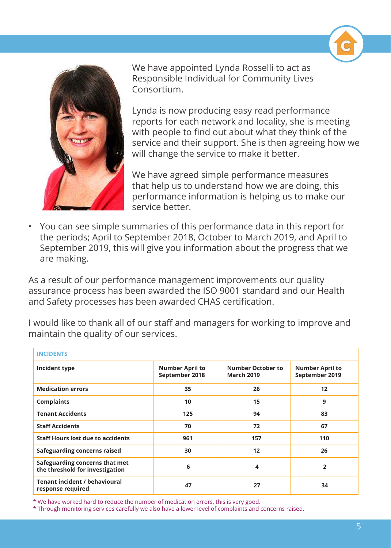



We have appointed Lynda Rosselli to act as Responsible Individual for Community Lives Consortium.

Lynda is now producing easy read performance reports for each network and locality, she is meeting with people to find out about what they think of the service and their support. She is then agreeing how we will change the service to make it better.

We have agreed simple performance measures that help us to understand how we are doing, this performance information is helping us to make our service better.

• You can see simple summaries of this performance data in this report for the periods; April to September 2018, October to March 2019, and April to September 2019, this will give you information about the progress that we are making.

As a result of our performance management improvements our quality assurance process has been awarded the ISO 9001 standard and our Health and Safety processes has been awarded CHAS certification.

I would like to thank all of our staff and managers for working to improve and maintain the quality of our services.

| <b>INCIDENTS</b>                                                  |                                          |                                        |                                          |  |
|-------------------------------------------------------------------|------------------------------------------|----------------------------------------|------------------------------------------|--|
| Incident type                                                     | <b>Number April to</b><br>September 2018 | Number October to<br><b>March 2019</b> | <b>Number April to</b><br>September 2019 |  |
| <b>Medication errors</b>                                          | 35                                       | 26                                     | 12                                       |  |
| <b>Complaints</b>                                                 | 10                                       | 15                                     | 9                                        |  |
| <b>Tenant Accidents</b>                                           | 125                                      | 94                                     | 83                                       |  |
| <b>Staff Accidents</b>                                            | 70                                       | 72                                     | 67                                       |  |
| <b>Staff Hours lost due to accidents</b>                          | 961                                      | 157                                    | 110                                      |  |
| <b>Safeguarding concerns raised</b>                               | 30                                       | 12                                     | 26                                       |  |
| Safeguarding concerns that met<br>the threshold for investigation | 6                                        | 4                                      | $\overline{2}$                           |  |
| <b>Tenant incident / behavioural</b><br>response required         | 47                                       | 27                                     | 34                                       |  |

\* We have worked hard to reduce the number of medication errors, this is very good.

\* Through monitoring services carefully we also have a lower level of complaints and concerns raised.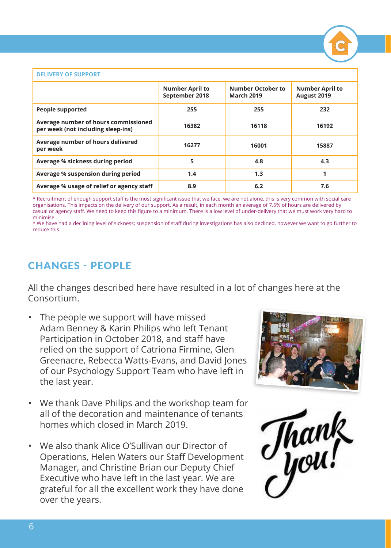

#### **DELIVERY OF SUPPORT**

|                                                                            | <b>Number April to</b><br>September 2018 | <b>Number October to</b><br><b>March 2019</b> | <b>Number April to</b><br>August 2019 |
|----------------------------------------------------------------------------|------------------------------------------|-----------------------------------------------|---------------------------------------|
| People supported                                                           | 255                                      | 255                                           | 232                                   |
| Average number of hours commissioned<br>per week (not including sleep-ins) | 16382                                    | 16118                                         | 16192                                 |
| Average number of hours delivered<br>per week                              | 16277                                    | 16001                                         | 15887                                 |
| Average % sickness during period                                           | 5                                        | 4.8                                           | 4.3                                   |
| Average % suspension during period                                         | 1.4                                      | 1.3                                           | 1                                     |
| Average % usage of relief or agency staff                                  | 8.9                                      | 6.2                                           | 7.6                                   |

\* Recruitment of enough support staff is the most significant issue that we face, we are not alone, this is very common with social care organisations. This impacts on the delivery of our support. As a result, in each month an average of 7.5% of hours are delivered by casual or agency staff. We need to keep this figure to a minimum. There is a low level of under-delivery that we must work very hard to minimise.

\* We have had a declining level of sickness; suspension of staff during investigations has also declined, however we want to go further to reduce this.

### CHANGES - PEOPLE

All the changes described here have resulted in a lot of changes here at the Consortium.

- The people we support will have missed Adam Benney & Karin Philips who left Tenant Participation in October 2018, and staff have relied on the support of Catriona Firmine, Glen Greenacre, Rebecca Watts-Evans, and David Jones of our Psychology Support Team who have left in the last year.
- We thank Dave Philips and the workshop team for all of the decoration and maintenance of tenants homes which closed in March 2019.
- We also thank Alice O'Sullivan our Director of Operations, Helen Waters our Staff Development Manager, and Christine Brian our Deputy Chief Executive who have left in the last year. We are grateful for all the excellent work they have done over the years.



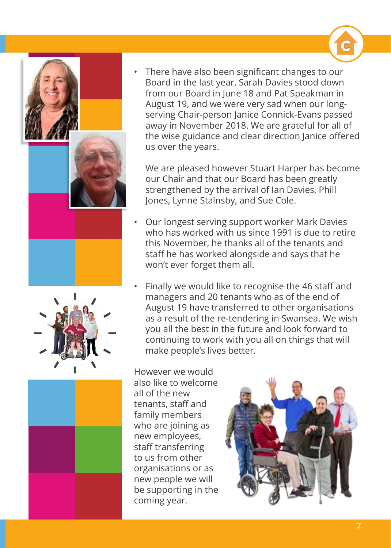





There have also been significant changes to our Board in the last year, Sarah Davies stood down from our Board in June 18 and Pat Speakman in August 19, and we were very sad when our longserving Chair-person Janice Connick-Evans passed away in November 2018. We are grateful for all of the wise guidance and clear direction Janice offered us over the years.

We are pleased however Stuart Harper has become our Chair and that our Board has been greatly strengthened by the arrival of Ian Davies, Phill Jones, Lynne Stainsby, and Sue Cole.

- Our longest serving support worker Mark Davies who has worked with us since 1991 is due to retire this November, he thanks all of the tenants and staff he has worked alongside and says that he won't ever forget them all.
- Finally we would like to recognise the 46 staff and managers and 20 tenants who as of the end of August 19 have transferred to other organisations as a result of the re-tendering in Swansea. We wish you all the best in the future and look forward to continuing to work with you all on things that will make people's lives better.

However we would also like to welcome all of the new tenants, staff and family members who are joining as new employees, staff transferring to us from other organisations or as new people we will be supporting in the coming year.

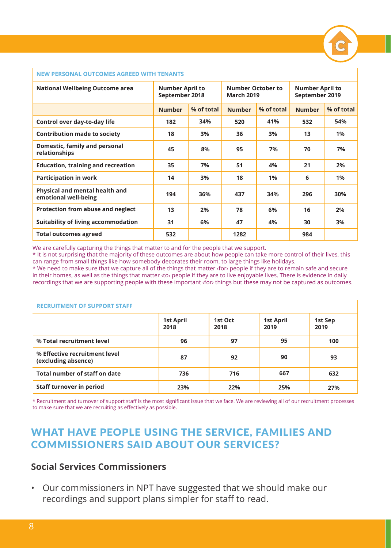#### **NEW PERSONAL OUTCOMES AGREED WITH TENANTS**

| <b>National Wellbeing Outcome area</b>                 | <b>Number April to</b><br>September 2018 |            | <b>Number October to</b><br><b>March 2019</b> |            | <b>Number April to</b><br>September 2019 |            |
|--------------------------------------------------------|------------------------------------------|------------|-----------------------------------------------|------------|------------------------------------------|------------|
|                                                        | <b>Number</b>                            | % of total | <b>Number</b>                                 | % of total | <b>Number</b>                            | % of total |
| Control over day-to-day life                           | 182                                      | 34%        | 520                                           | 41%        | 532                                      | 54%        |
| <b>Contribution made to society</b>                    | 18                                       | 3%         | 36                                            | 3%         | 13                                       | 1%         |
| Domestic, family and personal<br>relationships         | 45                                       | 8%         | 95                                            | 7%         | 70                                       | 7%         |
| <b>Education, training and recreation</b>              | 35                                       | 7%         | 51                                            | 4%         | 21                                       | 2%         |
| <b>Participation in work</b>                           | 14                                       | 3%         | 18                                            | 1%         | 6                                        | 1%         |
| Physical and mental health and<br>emotional well-being | 194                                      | 36%        | 437                                           | 34%        | 296                                      | 30%        |
| Protection from abuse and neglect                      | 13                                       | 2%         | 78                                            | 6%         | 16                                       | 2%         |
| <b>Suitability of living accommodation</b>             | 31                                       | 6%         | 47                                            | 4%         | 30                                       | 3%         |
| <b>Total outcomes agreed</b>                           | 532                                      |            | 1282                                          |            | 984                                      |            |

We are carefully capturing the things that matter to and for the people that we support.

\* It is not surprising that the majority of these outcomes are about how people can take more control of their lives, this can range from small things like how somebody decorates their room, to large things like holidays.

\* We need to make sure that we capture all of the things that matter ‹for› people if they are to remain safe and secure in their homes, as well as the things that matter ‹to› people if they are to live enjoyable lives. There is evidence in daily recordings that we are supporting people with these important ‹for› things but these may not be captured as outcomes.

| <b>RECRUITMENT OF SUPPORT STAFF</b>                  |                          |                 |                          |                 |
|------------------------------------------------------|--------------------------|-----------------|--------------------------|-----------------|
|                                                      | <b>1st April</b><br>2018 | 1st Oct<br>2018 | <b>1st April</b><br>2019 | 1st Sep<br>2019 |
| % Total recruitment level                            | 96                       | 97              | 95                       | 100             |
| % Effective recruitment level<br>(excluding absence) | 87                       | 92              | 90                       | 93              |
| Total number of staff on date                        | 736                      | 716             | 667                      | 632             |
| <b>Staff turnover in period</b>                      | 23%                      | 22%             | 25%                      | 27%             |

\* Recruitment and turnover of support staff is the most significant issue that we face. We are reviewing all of our recruitment processes to make sure that we are recruiting as effectively as possible.

# WHAT HAVE PEOPLE USING THE SERVICE, FAMILIES AND COMMISSIONERS SAID ABOUT OUR SERVICES?

### **Social Services Commissioners**

• Our commissioners in NPT have suggested that we should make our recordings and support plans simpler for staff to read.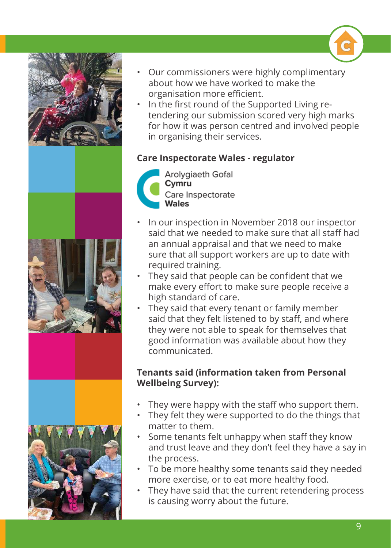

- Our commissioners were highly complimentary about how we have worked to make the organisation more efficient.
- In the first round of the Supported Living retendering our submission scored very high marks for how it was person centred and involved people in organising their services.

# **Care Inspectorate Wales - regulator**



- In our inspection in November 2018 our inspector said that we needed to make sure that all staff had an annual appraisal and that we need to make sure that all support workers are up to date with required training.
- They said that people can be confident that we make every effort to make sure people receive a high standard of care.
- They said that every tenant or family member said that they felt listened to by staff, and where they were not able to speak for themselves that good information was available about how they communicated.

## **Tenants said (information taken from Personal Wellbeing Survey):**

- They were happy with the staff who support them.
- They felt they were supported to do the things that matter to them.
- Some tenants felt unhappy when staff they know and trust leave and they don't feel they have a say in the process.
- To be more healthy some tenants said they needed more exercise, or to eat more healthy food.
- They have said that the current retendering process is causing worry about the future.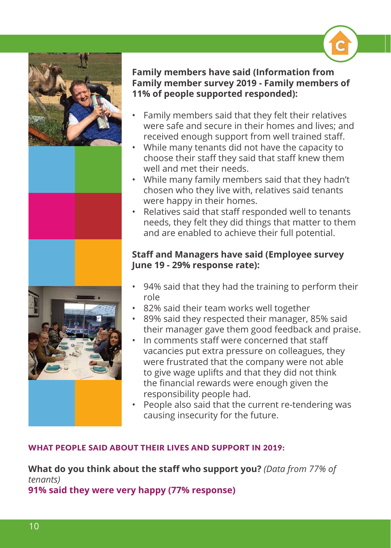

### **Family members have said (Information from Family member survey 2019 - Family members of 11% of people supported responded):**

- Family members said that they felt their relatives were safe and secure in their homes and lives; and received enough support from well trained staff.
- While many tenants did not have the capacity to choose their staff they said that staff knew them well and met their needs.
- While many family members said that they hadn't chosen who they live with, relatives said tenants were happy in their homes.
- Relatives said that staff responded well to tenants needs, they felt they did things that matter to them and are enabled to achieve their full potential.

### **Staff and Managers have said (Employee survey June 19 - 29% response rate):**

- 94% said that they had the training to perform their role
- 82% said their team works well together
- 89% said they respected their manager, 85% said their manager gave them good feedback and praise.
- In comments staff were concerned that staff vacancies put extra pressure on colleagues, they were frustrated that the company were not able to give wage uplifts and that they did not think the financial rewards were enough given the responsibility people had.
- People also said that the current re-tendering was causing insecurity for the future.

### WHAT PEOPLE SAID ABOUT THEIR LIVES AND SUPPORT IN 2019:

**What do you think about the staff who support you?** *(Data from 77% of tenants)* **91% said they were very happy (77% response)**

10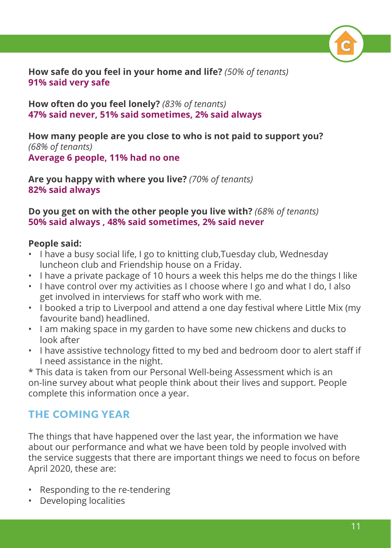**How safe do you feel in your home and life?** *(50% of tenants)* **91% said very safe**

**How often do you feel lonely?** *(83% of tenants)* **47% said never, 51% said sometimes, 2% said always**

**How many people are you close to who is not paid to support you?**  *(68% of tenants)* **Average 6 people, 11% had no one**

**Are you happy with where you live?** *(70% of tenants)* **82% said always**

### **Do you get on with the other people you live with?** *(68% of tenants)* **50% said always , 48% said sometimes, 2% said never**

### **People said:**

- I have a busy social life, I go to knitting club,Tuesday club, Wednesday luncheon club and Friendship house on a Friday.
- I have a private package of 10 hours a week this helps me do the things I like
- I have control over my activities as I choose where I go and what I do, I also get involved in interviews for staff who work with me.
- I booked a trip to Liverpool and attend a one day festival where Little Mix (my favourite band) headlined.
- I am making space in my garden to have some new chickens and ducks to look after
- I have assistive technology fitted to my bed and bedroom door to alert staff if I need assistance in the night.

\* This data is taken from our Personal Well-being Assessment which is an on-line survey about what people think about their lives and support. People complete this information once a year.

# THE COMING YEAR

The things that have happened over the last year, the information we have about our performance and what we have been told by people involved with the service suggests that there are important things we need to focus on before April 2020, these are:

- Responding to the re-tendering
- Developing localities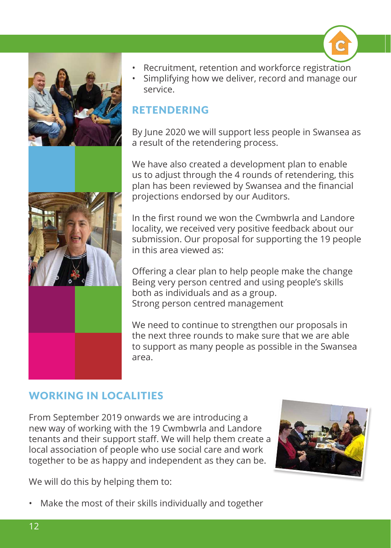

- Recruitment, retention and workforce registration
- Simplifying how we deliver, record and manage our service.

# RETENDERING

By June 2020 we will support less people in Swansea as a result of the retendering process.

We have also created a development plan to enable us to adjust through the 4 rounds of retendering, this plan has been reviewed by Swansea and the financial projections endorsed by our Auditors.

In the first round we won the Cwmbwrla and Landore locality, we received very positive feedback about our submission. Our proposal for supporting the 19 people in this area viewed as:

Offering a clear plan to help people make the change Being very person centred and using people's skills both as individuals and as a group. Strong person centred management

We need to continue to strengthen our proposals in the next three rounds to make sure that we are able to support as many people as possible in the Swansea area.

# WORKING IN LOCALITIES

From September 2019 onwards we are introducing a new way of working with the 19 Cwmbwrla and Landore tenants and their support staff. We will help them create a local association of people who use social care and work together to be as happy and independent as they can be.



We will do this by helping them to:

• Make the most of their skills individually and together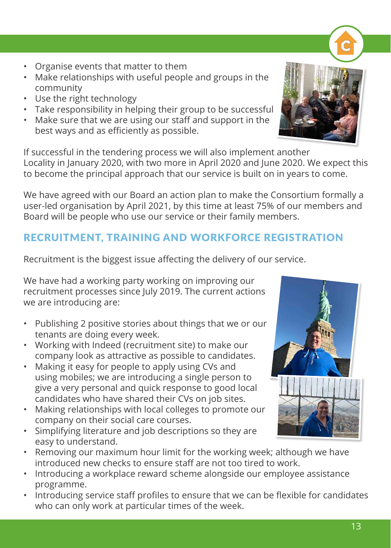- Organise events that matter to them
- Make relationships with useful people and groups in the community
- Use the right technology
- Take responsibility in helping their group to be successful
- Make sure that we are using our staff and support in the best ways and as efficiently as possible.

If successful in the tendering process we will also implement another Locality in January 2020, with two more in April 2020 and June 2020. We expect this to become the principal approach that our service is built on in years to come.

We have agreed with our Board an action plan to make the Consortium formally a user-led organisation by April 2021, by this time at least 75% of our members and Board will be people who use our service or their family members.

# RECRUITMENT, TRAINING AND WORKFORCE REGISTRATION

Recruitment is the biggest issue affecting the delivery of our service.

We have had a working party working on improving our recruitment processes since July 2019. The current actions we are introducing are:

- Publishing 2 positive stories about things that we or our tenants are doing every week.
- Working with Indeed (recruitment site) to make our company look as attractive as possible to candidates.
- Making it easy for people to apply using CVs and using mobiles; we are introducing a single person to give a very personal and quick response to good local candidates who have shared their CVs on job sites.
- Making relationships with local colleges to promote our company on their social care courses.
- Simplifying literature and job descriptions so they are easy to understand.
- Removing our maximum hour limit for the working week; although we have introduced new checks to ensure staff are not too tired to work.
- Introducing a workplace reward scheme alongside our employee assistance programme.
- Introducing service staff profiles to ensure that we can be flexible for candidates who can only work at particular times of the week.





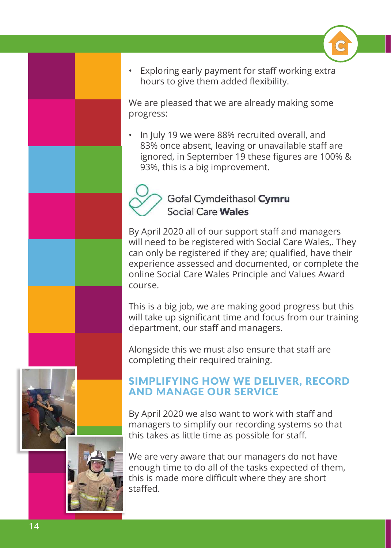

• Exploring early payment for staff working extra hours to give them added flexibility.

We are pleased that we are already making some progress:

• In July 19 we were 88% recruited overall, and 83% once absent, leaving or unavailable staff are ignored, in September 19 these figures are 100% & 93%, this is a big improvement.



By April 2020 all of our support staff and managers will need to be registered with Social Care Wales,. They can only be registered if they are; qualified, have their experience assessed and documented, or complete the online Social Care Wales Principle and Values Award course.

This is a big job, we are making good progress but this will take up significant time and focus from our training department, our staff and managers.

Alongside this we must also ensure that staff are completing their required training.

# SIMPLIFYING HOW WE DELIVER, RECORD AND MANAGE OUR SERVICE

By April 2020 we also want to work with staff and managers to simplify our recording systems so that this takes as little time as possible for staff.



We are very aware that our managers do not have enough time to do all of the tasks expected of them, this is made more difficult where they are short staffed.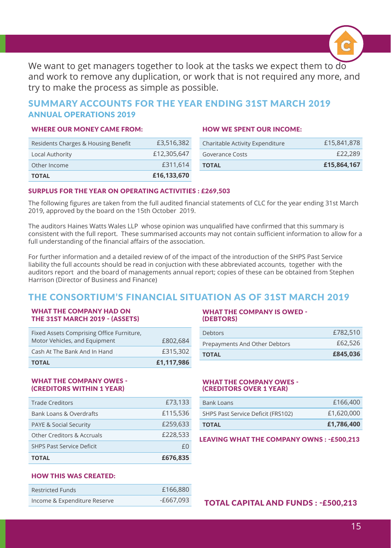

We want to get managers together to look at the tasks we expect them to do and work to remove any duplication, or work that is not required any more, and try to make the process as simple as possible.

### SUMMARY ACCOUNTS FOR THE YEAR ENDING 31ST MARCH 2019 ANNUAL OPERATIONS 2019

#### WHERE OUR MONEY CAME FROM:

#### HOW WE SPENT OUR INCOME:

| Residents Charges & Housing Benefit | £3,516,382  | Charitable Activity Expenditure | £15,841,878 |
|-------------------------------------|-------------|---------------------------------|-------------|
| Local Authority                     | £12,305,647 | <b>Goverance Costs</b>          | £22,289     |
| Other Income                        | £311,614    | <b>TOTAL</b>                    | £15,864,167 |
| <b>TOTAL</b>                        | £16,133,670 |                                 |             |

#### SURPLUS FOR THE YEAR ON OPERATING ACTIVITIES : £269,503

The following figures are taken from the full audited financial statements of CLC for the year ending 31st March 2019, approved by the board on the 15th October 2019.

The auditors Haines Watts Wales LLP whose opinion was unqualified have confirmed that this summary is consistent with the full report. These summarised accounts may not contain sufficient information to allow for a full understanding of the financial affairs of the association.

For further information and a detailed review of of the impact of the introduction of the SHPS Past Service liability the full accounts should be read in conjuction with these abbreviated accounts, together with the auditors report and the board of managements annual report; copies of these can be obtained from Stephen Harrison (Director of Business and Finance)

### THE CONSORTIUM'S FINANCIAL SITUATION AS OF 31ST MARCH 2019

#### WHAT THE COMPANY HAD ON THE 31ST MARCH 2019 - (ASSETS)

| <b>TOTAL</b>                                                               | £1,117,986 |
|----------------------------------------------------------------------------|------------|
| Cash At The Bank And In Hand                                               | £315,302   |
| Fixed Assets Comprising Office Furniture,<br>Motor Vehicles, and Equipment | £802,684   |

### WHAT THE COMPANY OWES - (CREDITORS WITHIN 1 YEAR)

| <b>TOTAL</b>                          | £676,835 |
|---------------------------------------|----------|
| <b>SHPS Past Service Deficit</b>      | $+()$    |
| <b>Other Creditors &amp; Accruals</b> | £228,533 |
| <b>PAYE &amp; Social Security</b>     | £259,633 |
| Bank Loans & Overdrafts               | £115,536 |
| <b>Trade Creditors</b>                | £73,133  |

#### WHAT THE COMPANY IS OWED - (DEBTORS)

| <b>TOTAL</b>                  | £845,036 |
|-------------------------------|----------|
| Prepayments And Other Debtors | £62,526  |
| <b>Debtors</b>                | £782,510 |

#### WHAT THE COMPANY OWES - (CREDITORS OVER 1 YEAR)

| Bank Loans                         | £166,400   |
|------------------------------------|------------|
| SHPS Past Service Deficit (FRS102) | £1,620,000 |
| <b>TOTAL</b>                       | £1,786,400 |

#### LEAVING WHAT THE COMPANY OWNS : -£500,213

### HOW THIS WAS CREATED:

| <b>Restricted Funds</b>      | £166,880  |
|------------------------------|-----------|
| Income & Expenditure Reserve | -£667.093 |

TOTAL CAPITAL AND FUNDS : - £500,213